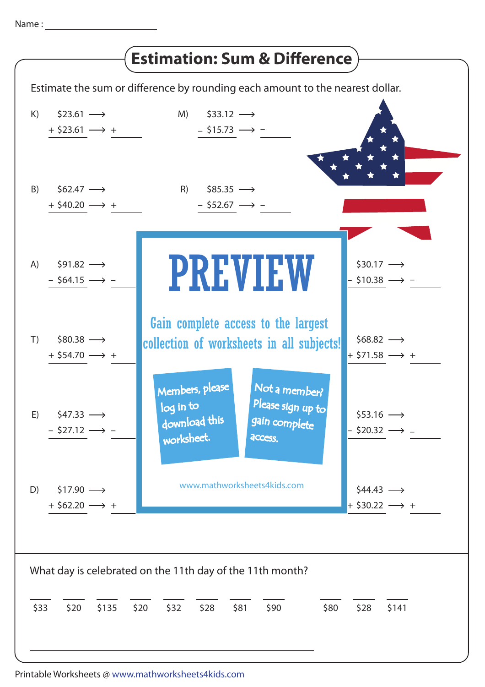